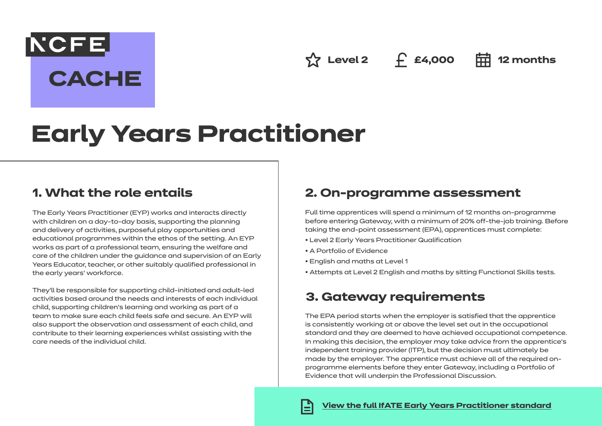**Level 2 £4,000 12 months**

# **Early Years Practitioner**

### **1. What the role entails**

**NCFE** 

**CACHE** 

The Early Years Practitioner (EYP) works and interacts directly with children on a day-to-day basis, supporting the planning and delivery of activities, purposeful play opportunities and educational programmes within the ethos of the setting. An EYP works as part of a professional team, ensuring the welfare and care of the children under the guidance and supervision of an Early Years Educator, teacher, or other suitably qualified professional in the early years' workforce.

They'll be responsible for supporting child-initiated and adult-led activities based around the needs and interests of each individual child, supporting children's learning and working as part of a team to make sure each child feels safe and secure. An EYP will also support the observation and assessment of each child, and contribute to their learning experiences whilst assisting with the care needs of the individual child.

## **2. On-programme assessment**

Full time apprentices will spend a minimum of 12 months on-programme before entering Gateway, with a minimum of 20% off-the-job training. Before taking the end-point assessment (EPA), apprentices must complete:

- Level 2 Early Years Practitioner Qualification
- A Portfolio of Evidence
- English and maths at Level 1
- Attempts at Level 2 English and maths by sitting Functional Skills tests.

## **3. Gateway requirements**

The EPA period starts when the employer is satisfied that the apprentice is consistently working at or above the level set out in the occupational standard and they are deemed to have achieved occupational competence. In making this decision, the employer may take advice from the apprentice's independent training provider (ITP), but the decision must ultimately be made by the employer. The apprentice must achieve all of the required onprogramme elements before they enter Gateway, including a Portfolio of Evidence that will underpin the Professional Discussion.